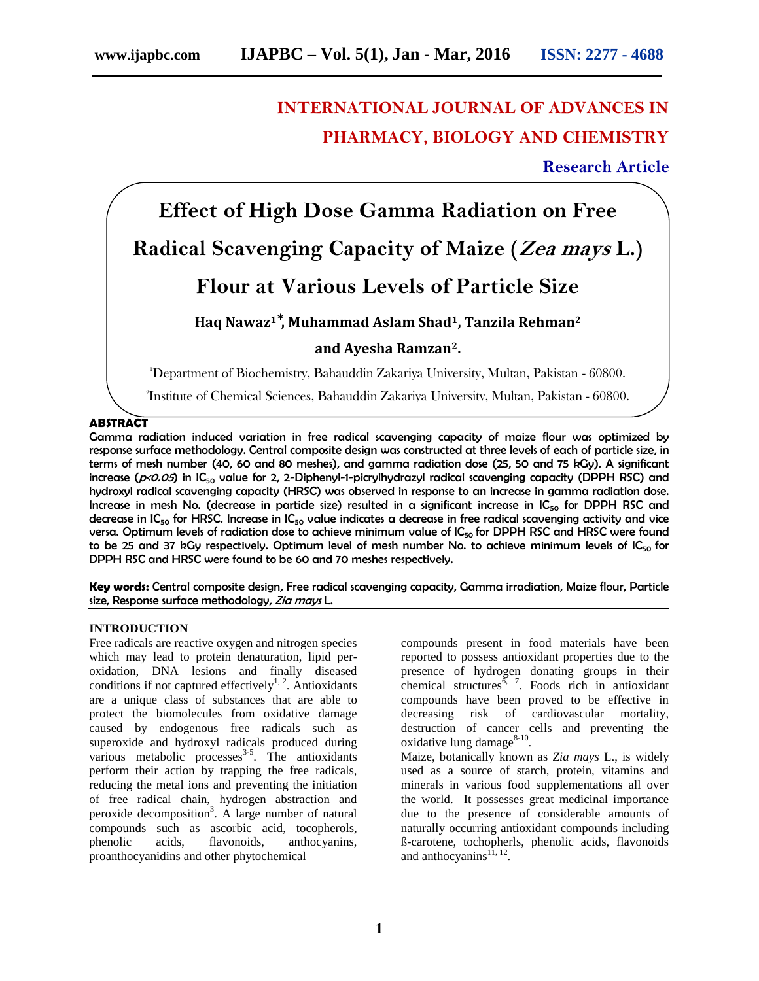# **INTERNATIONAL JOURNAL OF ADVANCES IN PHARMACY, BIOLOGY AND CHEMISTRY**

**Research Article**

# **Effect of High Dose Gamma Radiation on Free Radical Scavenging Capacity of Maize (***Zea mays* **L.)**

# **Flour at Various Levels of Particle Size**

**Haq Nawaz<sup>1</sup> , Muhammad Aslam Shad1, Tanzila Rehman<sup>2</sup>**

# **and Ayesha Ramzan2.**

<sup>1</sup>Department of Biochemistry, Bahauddin Zakariya University, Multan, Pakistan - 60800.

<sup>2</sup>Institute of Chemical Sciences, Bahauddin Zakariya University, Multan, Pakistan - 60800.

# **ABSTRACT**

Gamma radiation induced variation in free radical scavenging capacity of maize flour was optimized by response surface methodology. Central composite design was constructed at three levels of each of particle size, in terms of mesh number (40, 60 and 80 meshes), and gamma radiation dose (25, 50 and 75 kGy). A significant increase (*p<0.05*) in IC<sub>50</sub> value for 2, 2-Diphenyl-1-picrylhydrazyl radical scavenging capacity (DPPH RSC) and hydroxyl radical scavenging capacity (HRSC) was observed in response to an increase in gamma radiation dose. Increase in mesh No. (decrease in particle size) resulted in a significant increase in  $IC_{50}$  for DPPH RSC and decrease in  $IC_{50}$  for HRSC. Increase in  $IC_{50}$  value indicates a decrease in free radical scavenging activity and vice versa. Optimum levels of radiation dose to achieve minimum value of IC<sub>50</sub> for DPPH RSC and HRSC were found to be 25 and 37 kGy respectively. Optimum level of mesh number No. to achieve minimum levels of  $IC_{50}$  for DPPH RSC and HRSC were found to be 60 and 70 meshes respectively.

**Key words:** Central composite design*,* Free radical scavenging capacity, Gamma irradiation, Maize flour, Particle size, Response surface methodology, *Zia mays* L.

# **INTRODUCTION**

Free radicals are reactive oxygen and nitrogen species which may lead to protein denaturation, lipid per oxidation, DNA lesions and finally diseased conditions if not captured effectively<sup>1, 2</sup>. Antioxidants are a unique class of substances that are able to protect the biomolecules from oxidative damage caused by endogenous free radicals such as superoxide and hydroxyl radicals produced during various metabolic processes $3-5$ . The antioxidants perform their action by trapping the free radicals, reducing the metal ions and preventing the initiation of free radical chain, hydrogen abstraction and peroxide decomposition<sup>3</sup>. A large number of natural compounds such as ascorbic acid, tocopherols, phenolic acids, flavonoids, anthocyanins, proanthocyanidins and other phytochemical

compounds present in food materials have been reported to possess antioxidant properties due to the presence of hydrogen donating groups in their chemical structures  $\frac{5}{7}$ . Foods rich in antioxidant compounds have been proved to be effective in decreasing risk of cardiovascular mortality, destruction of cancer cells and preventing the oxidative lung damage $^{8-10}$ .

Maize, botanically known as *Zia mays* L., is widely used as a source of starch, protein, vitamins and minerals in various food supplementations all over the world. It possesses great medicinal importance due to the presence of considerable amounts of naturally occurring antioxidant compounds including ß-carotene, tochopherls, phenolic acids, flavonoids and anthocyanins<sup> $11, 12$ </sup>.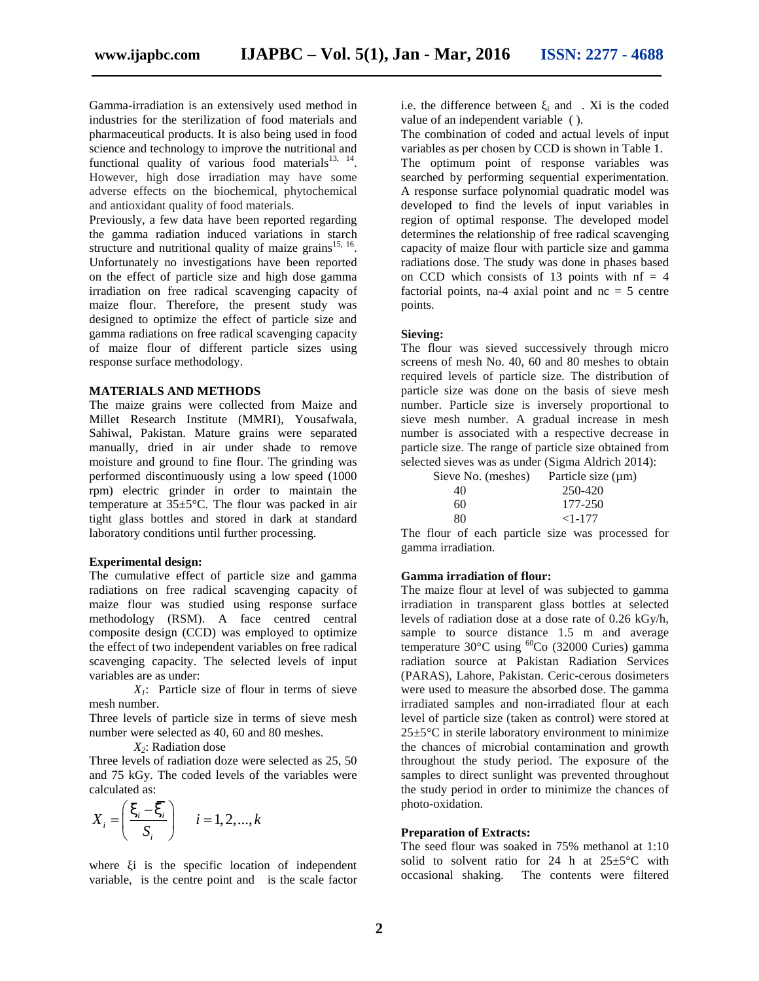Gamma-irradiation is an extensively used method in industries for the sterilization of food materials and pharmaceutical products. It is also being used in food science and technology to improve the nutritional and functional quality of various food materials $^{13, 14}$ . However, high dose irradiation may have some adverse effects on the biochemical, phytochemical and antioxidant quality of food materials.

Previously, a few data have been reported regarding the gamma radiation induced variations in starch structure and nutritional quality of maize grains<sup>15, 16</sup>. Unfortunately no investigations have been reported on the effect of particle size and high dose gamma irradiation on free radical scavenging capacity of maize flour. Therefore, the present study was designed to optimize the effect of particle size and gamma radiations on free radical scavenging capacity of maize flour of different particle sizes using response surface methodology.

### **MATERIALS AND METHODS**

The maize grains were collected from Maize and Millet Research Institute (MMRI), Yousafwala, Sahiwal, Pakistan. Mature grains were separated manually, dried in air under shade to remove moisture and ground to fine flour. The grinding was performed discontinuously using a low speed (1000 rpm) electric grinder in order to maintain the temperature at 35±5°C. The flour was packed in air tight glass bottles and stored in dark at standard laboratory conditions until further processing.

#### **Experimental design:**

The cumulative effect of particle size and gamma radiations on free radical scavenging capacity of maize flour was studied using response surface methodology (RSM). A face centred central composite design (CCD) was employed to optimize the effect of two independent variables on free radical scavenging capacity. The selected levels of input variables are as under: but was studied using tesponse surface<br>ogy (RSM). A face centred central<br>clesign (CCD) was employed to optimize<br>of two independent variables on free radical<br>g capacity. The selected levels of input<br>are as under:<br> $X_i$ : Par moisture and ground to fine flour. The grinding was<br>selected siever<br>prom) electric grinder in order to maintain the<br>emperature at 35-5°C. The flour was packed (1000 sieve and the<br>emperature at 35-5°C. The flour was packed

*X1*: Particle size of flour in terms of sieve mesh number.

Three levels of particle size in terms of sieve mesh number were selected as 40, 60 and 80 meshes.

*X2*: Radiation dose

Three levels of radiation doze were selected as 25, 50 and 75 kGy. The coded levels of the variables were calculated as:

$$
X_i = \left(\frac{\zeta_i - \overline{\zeta_i}}{S_i}\right) \quad i = 1, 2, ..., k
$$

where i is the specific location of independent variable, is the centre point and is the scale factor i.e. the difference between  $\alpha$  i and . Xi is the coded value of an independent variable ( ).

The combination of coded and actual levels of input variables as per chosen by CCD is shown in Table 1.

The optimum point of response variables was searched by performing sequential experimentation. A response surface polynomial quadratic model was developed to find the levels of input variables in region of optimal response. The developed model determines the relationship of free radical scavenging capacity of maize flour with particle size and gamma radiations dose. The study was done in phases based on CCD which consists of 13 points with  $nf = 4$ factorial points, na-4 axial point and  $nc = 5$  centre points.

#### **Sieving:**

The flour was sieved successively through micro screens of mesh No. 40, 60 and 80 meshes to obtain required levels of particle size. The distribution of particle size was done on the basis of sieve mesh number. Particle size is inversely proportional to sieve mesh number. A gradual increase in mesh number is associated with a respective decrease in particle size. The range of particle size obtained from selected sieves was as under (Sigma Aldrich 2014):

| Sieve No. (meshes) | Particle size $(\mu m)$ |
|--------------------|-------------------------|
| 40                 | 250-420                 |
| 60                 | 177-250                 |
| 80                 | $<1-177$                |

The flour of each particle size was processed for gamma irradiation.

### **Gamma irradiation of flour:**

1, Pakistan. Mature grains were separated<br>
1911, Pakistan. Mature grains were separated<br>
1911, drie in under shote, the matter shot in the most particle size of<br>
the ending was<br>
edected size was as under (Sigma Addich 201 wall, reaksar wave planes were separate to say a satisfact war a respective text excels in the mole of the form. The grinding was some smaller (Sigma Adried 2014):<br>
not discontinuously using a low speed (1000 Sieved sieve The maize flour at level of was subjected to gamma irradiation in transparent glass bottles at selected levels of radiation dose at a dose rate of 0.26 kGy/h, sample to source distance 1.5 m and average temperature 30°C using <sup>60</sup>Co (32000 Curies) gamma radiation source at Pakistan Radiation Services (PARAS), Lahore, Pakistan. Ceric-cerous dosimeters were used to measure the absorbed dose. The gamma irradiated samples and non-irradiated flour at each level of particle size (taken as control) were stored at  $25\pm5\degree$ C in sterile laboratory environment to minimize the chances of microbial contamination and growth throughout the study period. The exposure of the samples to direct sunlight was prevented throughout the study period in order to minimize the chances of photo-oxidation.

#### **Preparation of Extracts:**

The seed flour was soaked in 75% methanol at 1:10 solid to solvent ratio for 24 h at  $25\pm5\degree C$  with occasional shaking. The contents were filtered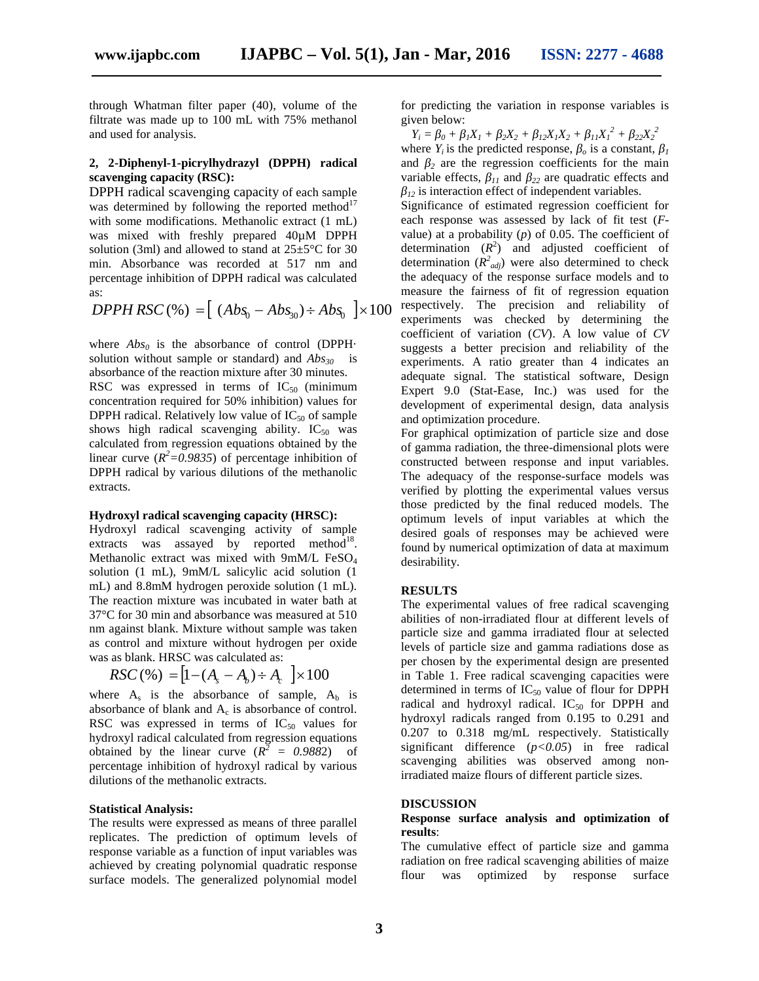through Whatman filter paper (40), volume of the filtrate was made up to 100 mL with 75% methanol and used for analysis.

### **2, 2-Diphenyl-1-picrylhydrazyl (DPPH) radical scavenging capacity (RSC):**

DPPH radical scavenging capacity of each sample was determined by following the reported method $17$ with some modifications. Methanolic extract (1 mL) was mixed with freshly prepared 40µM DPPH solution (3ml) and allowed to stand at  $25\pm5^{\circ}$ C for 30 min. Absorbance was recorded at 517 nm and percentage inhibition of DPPH radical was calculated as:

*DPPH RSC*(%) = 
$$
[ (Abs_0 - Abs_{30}) \div Abs_0 ] \times 100
$$
 respectively. The precision and reliability of experiments was checked by determining the

where  $Abs<sub>0</sub>$  is the absorbance of control (DPPH $\cdot$ solution without sample or standard) and *Abs<sup>30</sup>* is absorbance of the reaction mixture after 30 minutes.

RSC was expressed in terms of  $IC_{50}$  (minimum concentration required for 50% inhibition) values for DPPH radical. Relatively low value of  $IC_{50}$  of sample shows high radical scavenging ability.  $IC_{50}$  was calculated from regression equations obtained by the linear curve  $(R^2=0.9835)$  of percentage inhibition of DPPH radical by various dilutions of the methanolic extracts.

#### **Hydroxyl radical scavenging capacity (HRSC):**

Hydroxyl radical scavenging activity of sample extracts was assayed by reported method<sup>18</sup>. Methanolic extract was mixed with 9mM/L FeSO<sup>4</sup> solution (1 mL), 9mM/L salicylic acid solution (1 mL) and 8.8mM hydrogen peroxide solution (1 mL). The reaction mixture was incubated in water bath at 37°C for 30 min and absorbance was measured at 510 nm against blank. Mixture without sample was taken as control and mixture without hydrogen per oxide was as blank. HRSC was calculated as:

$$
RSC(\%) = [1 - (A_s - A_b) \div A_c] \times 100
$$

where  $A_s$  is the absorbance of sample,  $A_b$  is absorbance of blank and  $A_c$  is absorbance of control. RSC was expressed in terms of  $IC_{50}$  values for hydroxyl radical calculated from regression equations obtained by the linear curve  $(R^2 = 0.9882)$  of percentage inhibition of hydroxyl radical by various dilutions of the methanolic extracts.

#### **Statistical Analysis:**

The results were expressed as means of three parallel replicates. The prediction of optimum levels of response variable as a function of input variables was achieved by creating polynomial quadratic response surface models. The generalized polynomial model

for predicting the variation in response variables is given below:

 $Y_i = 0 + iX_1 + iX_2 + iX_1X_2 + iX_1X_1^2 + iX_2X_2^2$ where  $Y_i$  is the predicted response,  $\sigma$  is a constant,  $I$ and  $\alpha$  are the regression coefficients for the main variable effects, *<sup>11</sup>* and *<sup>22</sup>* are quadratic effects and *<sup>12</sup>* is interaction effect of independent variables.

Significance of estimated regression coefficient for each response was assessed by lack of fit test (*F* value) at a probability  $(p)$  of 0.05. The coefficient of determination  $(R^2)$  and adjusted coefficient of determination  $(R^2_{adj})$  were also determined to check the adequacy of the response surface models and to measure the fairness of fit of regression equation experiments was checked by determining the coefficient of variation (*CV*). A low value of *CV* suggests a better precision and reliability of the experiments. A ratio greater than 4 indicates an adequate signal. The statistical software, Design Expert 9.0 (Stat-Ease, Inc.) was used for the development of experimental design, data analysis and optimization procedure.

For graphical optimization of particle size and dose of gamma radiation, the three-dimensional plots were constructed between response and input variables. The adequacy of the response-surface models was verified by plotting the experimental values versus those predicted by the final reduced models. The optimum levels of input variables at which the desired goals of responses may be achieved were found by numerical optimization of data at maximum desirability.

#### **RESULTS**

 $RSC(\%) = [1 - (A_s - A_b) \div A_c] \times 100$  in Table 1. Free radical scavenging capacities were The experimental values of free radical scavenging abilities of non-irradiated flour at different levels of particle size and gamma irradiated flour at selected levels of particle size and gamma radiations dose as per chosen by the experimental design are presented determined in terms of  $IC_{50}$  value of flour for DPPH radical and hydroxyl radical.  $IC_{50}$  for DPPH and hydroxyl radicals ranged from 0.195 to 0.291 and 0.207 to 0.318 mg/mL respectively. Statistically significant difference (*p<0.05*) in free radical scavenging abilities was observed among nonirradiated maize flours of different particle sizes.

#### **DISCUSSION**

#### **Response surface analysis and optimization of results**:

The cumulative effect of particle size and gamma radiation on free radical scavenging abilities of maize flour was optimized by response surface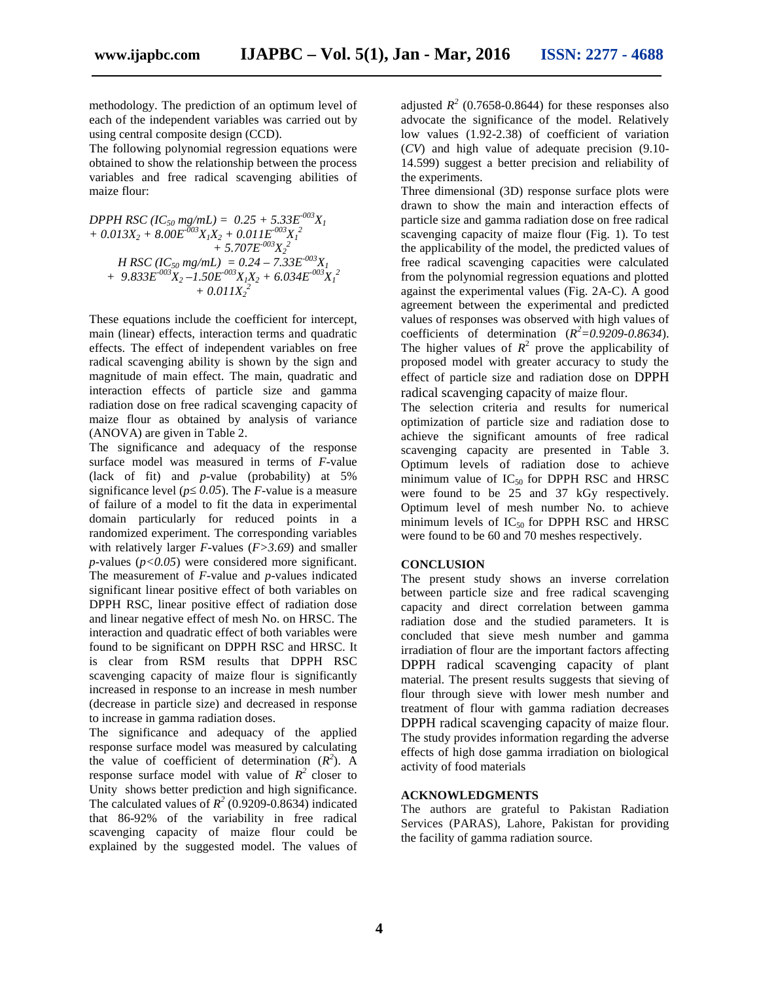methodology. The prediction of an optimum level of each of the independent variables was carried out by using central composite design (CCD).

The following polynomial regression equations were obtained to show the relationship between the process variables and free radical scavenging abilities of maize flour:

$$
DPPH RSC (IC50 mg/mL) = 0.25 + 5.33E-003XI+ 0.013X2 + 8.00E-003XIX2 + 0.011E-003XI2+ 5.707E-003X22H RSC (IC50 mg/mL) = 0.24 - 7.33E-003XI+ 9.833E-003X2 - 1.50E-003XIX2 + 6.034E-003XI2+ 0.011X22
$$

These equations include the coefficient for intercept, main (linear) effects, interaction terms and quadratic effects. The effect of independent variables on free radical scavenging ability is shown by the sign and magnitude of main effect. The main, quadratic and interaction effects of particle size and gamma radiation dose on free radical scavenging capacity of maize flour as obtained by analysis of variance (ANOVA) are given in Table 2.

The significance and adequacy of the response surface model was measured in terms of *F*-value (lack of fit) and *p*-value (probability) at 5% significance level ( $p \overline{0.05}$ ). The *F*-value is a measure of failure of a model to fit the data in experimental domain particularly for reduced points in a randomized experiment. The corresponding variables with relatively larger *F*-values (*F>3.69*) and smaller *p*-values (*p<0.05*) were considered more significant. The measurement of *F*-value and *p*-values indicated significant linear positive effect of both variables on DPPH RSC, linear positive effect of radiation dose and linear negative effect of mesh No. on HRSC. The interaction and quadratic effect of both variables were found to be significant on DPPH RSC and HRSC. It is clear from RSM results that DPPH RSC scavenging capacity of maize flour is significantly increased in response to an increase in mesh number (decrease in particle size) and decreased in response to increase in gamma radiation doses.

The significance and adequacy of the applied response surface model was measured by calculating the value of coefficient of determination  $(R^2)$ . A response surface model with value of  $R^2$  closer to Unity shows better prediction and high significance. The calculated values of  $R^2$  (0.9209-0.8634) indicated  $\therefore$ that 86-92% of the variability in free radical scavenging capacity of maize flour could be explained by the suggested model. The values of

adjusted  $R^2$  (0.7658-0.8644) for these responses also advocate the significance of the model. Relatively low values (1.92-2.38) of coefficient of variation (*CV*) and high value of adequate precision (9.10- 14.599) suggest a better precision and reliability of the experiments.

Three dimensional (3D) response surface plots were drawn to show the main and interaction effects of particle size and gamma radiation dose on free radical scavenging capacity of maize flour (Fig. 1). To test the applicability of the model, the predicted values of free radical scavenging capacities were calculated from the polynomial regression equations and plotted against the experimental values (Fig. 2A-C). A good agreement between the experimental and predicted values of responses was observed with high values of coefficients of determination  $(R^2=0.9209-0.8634)$ . The higher values of  $R^2$  prove the applicability of proposed model with greater accuracy to study the effect of particle size and radiation dose on DPPH radical scavenging capacity of maize flour.

The selection criteria and results for numerical optimization of particle size and radiation dose to achieve the significant amounts of free radical scavenging capacity are presented in Table 3. Optimum levels of radiation dose to achieve minimum value of  $IC_{50}$  for DPPH RSC and HRSC were found to be 25 and 37 kGy respectively. Optimum level of mesh number No. to achieve minimum levels of  $IC_{50}$  for DPPH RSC and HRSC were found to be 60 and 70 meshes respectively.

### **CONCLUSION**

The present study shows an inverse correlation between particle size and free radical scavenging capacity and direct correlation between gamma radiation dose and the studied parameters. It is concluded that sieve mesh number and gamma irradiation of flour are the important factors affecting DPPH radical scavenging capacity of plant material. The present results suggests that sieving of flour through sieve with lower mesh number and treatment of flour with gamma radiation decreases DPPH radical scavenging capacity of maize flour. The study provides information regarding the adverse effects of high dose gamma irradiation on biological activity of food materials

### **ACKNOWLEDGMENTS**

The authors are grateful to Pakistan Radiation Services (PARAS), Lahore, Pakistan for providing the facility of gamma radiation source.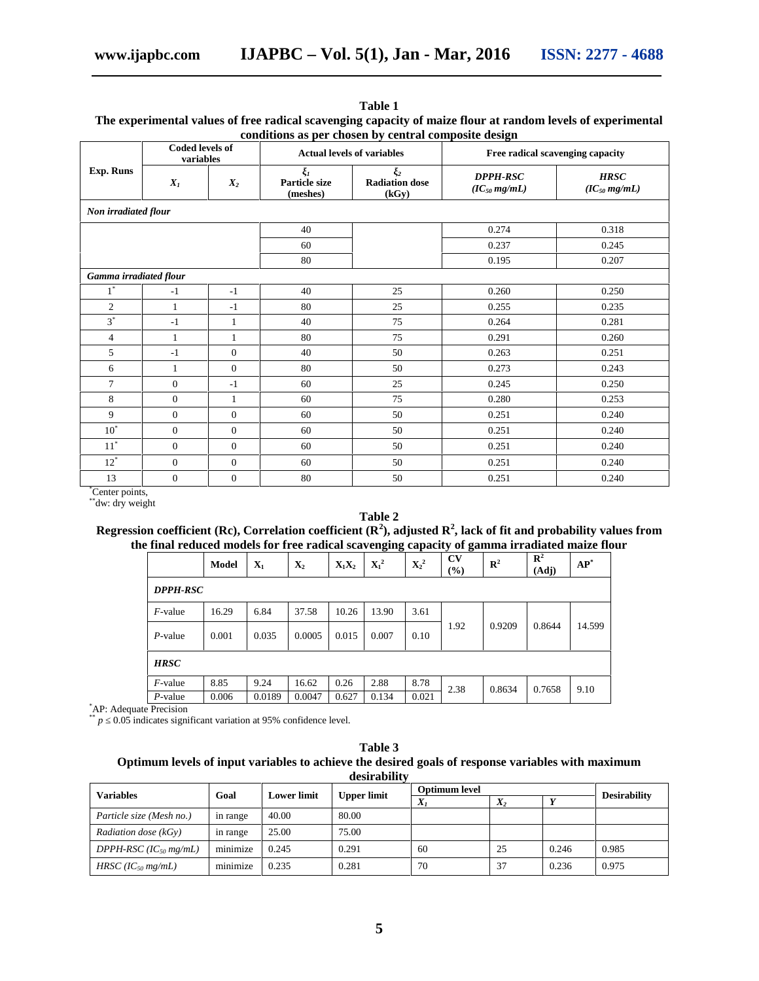|                                     |                |                  |                           | conditions as per chosen by central composite design      |                                      |                                  |  |  |
|-------------------------------------|----------------|------------------|---------------------------|-----------------------------------------------------------|--------------------------------------|----------------------------------|--|--|
| <b>Coded levels of</b><br>variables |                |                  |                           | <b>Actual levels of variables</b>                         | Free radical scavenging capacity     |                                  |  |  |
| Exp. Runs                           | $X_I$<br>$X_2$ |                  | Particle size<br>(meshes) | $\overline{\mathbf{z}}$<br><b>Radiation dose</b><br>(kGy) | <b>DPPH-RSC</b><br>$(IC_{50} mg/mL)$ | <b>HRSC</b><br>$(IC_{50} mg/mL)$ |  |  |
| Non irradiated flour                |                |                  |                           |                                                           |                                      |                                  |  |  |
|                                     |                |                  | 40                        |                                                           | 0.274                                | 0.318                            |  |  |
|                                     |                |                  | 60                        |                                                           | 0.237                                | 0.245                            |  |  |
|                                     |                |                  | 80                        |                                                           | 0.195                                | 0.207                            |  |  |
| Gamma irradiated flour              |                |                  |                           |                                                           |                                      |                                  |  |  |
| $1^*$                               | $-1$           | $-1$             | 40                        | 25                                                        | 0.260                                | 0.250                            |  |  |
| $\mathfrak{2}$                      | 1              | $-1$             | 80                        | 25                                                        | 0.255                                | 0.235                            |  |  |
| $3^*$                               | $-1$           | 1                | 40                        | 75                                                        | 0.264                                | 0.281                            |  |  |
| $\overline{4}$                      | $\mathbf{1}$   | $\mathbf{1}$     | 80                        | 75                                                        | 0.291                                | 0.260                            |  |  |
| 5                                   | $-1$           | $\overline{0}$   | 40                        | 50                                                        | 0.263                                | 0.251                            |  |  |
| 6                                   | $\mathbf{1}$   | $\Omega$         | 80                        | 50                                                        | 0.273                                | 0.243                            |  |  |
| $\tau$                              | $\overline{0}$ | $-1$             | 60                        | 25                                                        | 0.245                                | 0.250                            |  |  |
| 8                                   | $\overline{0}$ | 1                | 60                        | 75                                                        | 0.280                                | 0.253                            |  |  |
| 9                                   | $\mathbf{0}$   | $\overline{0}$   | 60                        | 50                                                        | 0.251                                | 0.240                            |  |  |
| $10^{\circ}$                        | $\mathbf{0}$   | $\overline{0}$   | 60                        | 50                                                        | 0.251                                | 0.240                            |  |  |
| $11^*$                              | $\overline{0}$ | $\overline{0}$   | 60                        | 50                                                        | 0.251                                | 0.240                            |  |  |
| $12^*$                              | $\mathbf{0}$   | $\overline{0}$   | 60                        | 50                                                        | 0.251                                | 0.240                            |  |  |
| 13                                  | $\mathbf{0}$   | $\boldsymbol{0}$ | 80                        | 50                                                        | 0.251                                | 0.240                            |  |  |

**Table 1**

# **The experimental values of free radical scavenging capacity of maize flour at random levels of experimental**

\*Center points,<br>\*\*dw: dry weight

# **Table 2**

# **Regression coefficient (Rc), Correlation coefficient (R<sup>2</sup>), adjusted R<sup>2</sup> , lack of fit and probability values from the final reduced models for free radical scavenging capacity of gamma irradiated maize flour**

|                 | <b>Model</b> | $\mathbf{X}_1$ | $\mathbf{X}_2$ | $X_1X_2$ | $\mathbf{X_1}^2$ | $\mathbf{X_2}^2$ | CV<br>(%) | $\mathbb{R}^2$ | $\mathbb{R}^2$<br>(Adj) | $AP^*$ |
|-----------------|--------------|----------------|----------------|----------|------------------|------------------|-----------|----------------|-------------------------|--------|
| <b>DPPH-RSC</b> |              |                |                |          |                  |                  |           |                |                         |        |
| $F$ -value      | 16.29        | 6.84           | 37.58          | 10.26    | 13.90            | 3.61             | 1.92      | 0.9209         | 0.8644                  | 14.599 |
| $P$ -value      | 0.001        | 0.035          | 0.0005         | 0.015    | 0.007            | 0.10             |           |                |                         |        |
| <b>HRSC</b>     |              |                |                |          |                  |                  |           |                |                         |        |
| $F$ -value      | 8.85         | 9.24           | 16.62          | 0.26     | 2.88             | 8.78             | 2.38      | 0.8634         | 0.7658                  | 9.10   |
| P-value         | 0.006        | 0.0189         | 0.0047         | 0.627    | 0.134            | 0.021            |           |                |                         |        |

\*AP: Adequate Precision

 $p = 0.05$  indicates significant variation at 95% confidence level.

| Table 3                                                                                           |  |
|---------------------------------------------------------------------------------------------------|--|
| Optimum levels of input variables to achieve the desired goals of response variables with maximum |  |
| desirability                                                                                      |  |

| <b>Variables</b>                  | Goal     | <b>Lower limit</b> | Upper limit | <b>Optimum level</b> |       |       | <b>Desirability</b> |
|-----------------------------------|----------|--------------------|-------------|----------------------|-------|-------|---------------------|
|                                   |          |                    |             | $X_i$                | $X_2$ |       |                     |
| Particle size (Mesh no.)          | in range | 40.00              | 80.00       |                      |       |       |                     |
| <i>Radiation dose</i> $(kGv)$     | in range | 25.00              | 75.00       |                      |       |       |                     |
| DPPH-RSC (IC <sub>50</sub> mg/mL) | minimize | 0.245              | 0.291       | 60                   | 25    | 0.246 | 0.985               |
| $HRSC (IC_{50} mg/mL)$            | minimize | 0.235              | 0.281       | 70                   | 37    | 0.236 | 0.975               |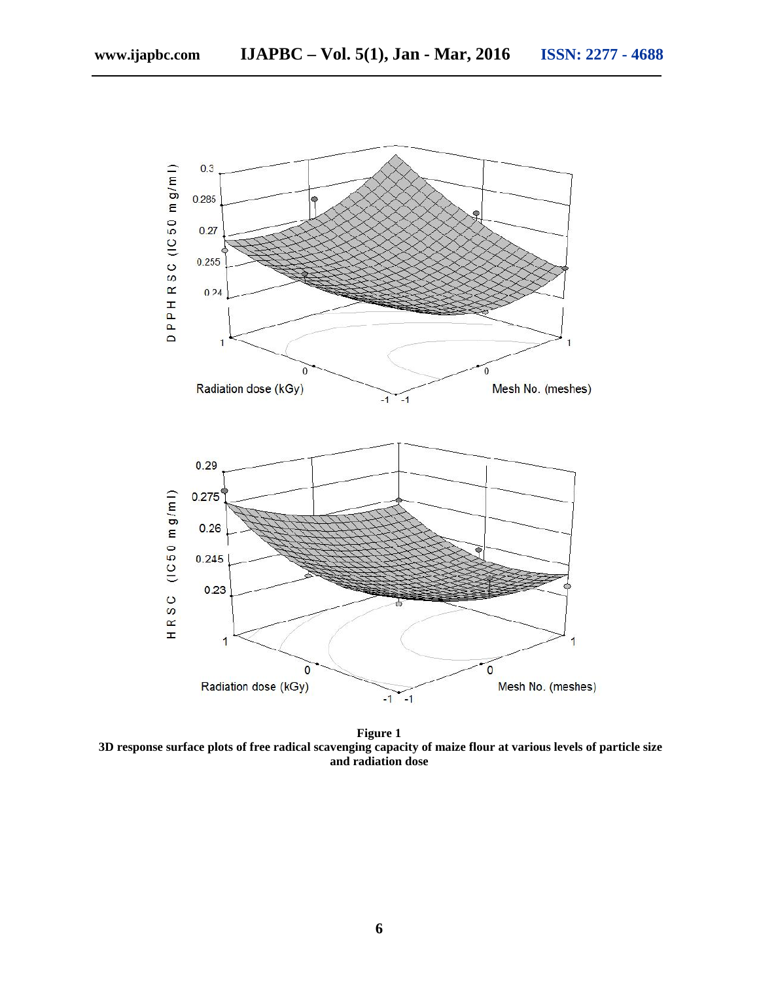

**Figure 1 3D response surface plots of free radical scavenging capacity of maize flour at various levels of particle size and radiation dose**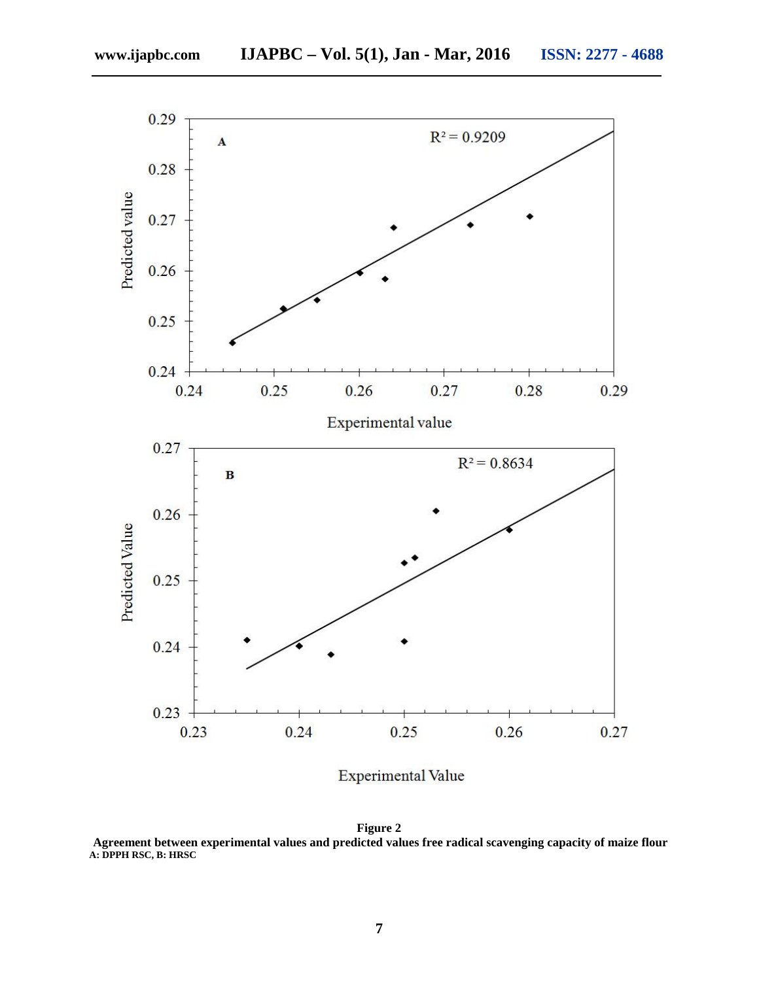

**Experimental Value** 

**Figure 2 Agreement between experimental values and predicted values free radical scavenging capacity of maize flour A: DPPH RSC, B: HRSC**